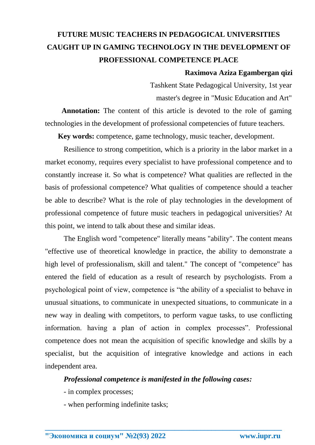# **FUTURE MUSIC TEACHERS IN PEDAGOGICAL UNIVERSITIES CAUGHT UP IN GAMING TECHNOLOGY IN THE DEVELOPMENT OF PROFESSIONAL COMPETENCE PLACE**

### **Raximova Aziza Egambergan qizi**

Tashkent State Pedagogical University, 1st year master's degree in "Music Education and Art"

 **Annotation:** The content of this article is devoted to the role of gaming technologies in the development of professional competencies of future teachers.

 **Key words:** competence, game technology, music teacher, development.

Resilience to strong competition, which is a priority in the labor market in a market economy, requires every specialist to have professional competence and to constantly increase it. So what is competence? What qualities are reflected in the basis of professional competence? What qualities of competence should a teacher be able to describe? What is the role of play technologies in the development of professional competence of future music teachers in pedagogical universities? At this point, we intend to talk about these and similar ideas.

The English word "competence" literally means "ability". The content means "effective use of theoretical knowledge in practice, the ability to demonstrate a high level of professionalism, skill and talent." The concept of "competence" has entered the field of education as a result of research by psychologists. From a psychological point of view, competence is "the ability of a specialist to behave in unusual situations, to communicate in unexpected situations, to communicate in a new way in dealing with competitors, to perform vague tasks, to use conflicting information. having a plan of action in complex processes". Professional competence does not mean the acquisition of specific knowledge and skills by a specialist, but the acquisition of integrative knowledge and actions in each independent area.

#### *Professional competence is manifested in the following cases:*

**\_\_\_\_\_\_\_\_\_\_\_\_\_\_\_\_\_\_\_\_\_\_\_\_\_\_\_\_\_\_\_\_\_\_\_\_\_\_\_\_\_\_\_\_\_\_\_\_\_\_\_\_\_\_\_\_\_\_\_\_\_\_\_\_**

- in complex processes;

- when performing indefinite tasks;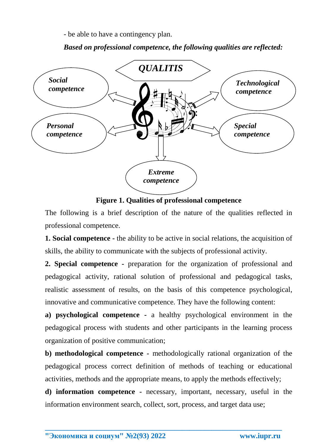- be able to have a contingency plan.

*Based on professional competence, the following qualities are reflected:*



**Figure 1. Qualities of professional competence**

The following is a brief description of the nature of the qualities reflected in professional competence.

**1. Social competence -** the ability to be active in social relations, the acquisition of skills, the ability to communicate with the subjects of professional activity.

**2. Special competence -** preparation for the organization of professional and pedagogical activity, rational solution of professional and pedagogical tasks, realistic assessment of results, on the basis of this competence psychological, innovative and communicative competence. They have the following content:

**a) psychological competence -** a healthy psychological environment in the pedagogical process with students and other participants in the learning process organization of positive communication;

**b) methodological competence -** methodologically rational organization of the pedagogical process correct definition of methods of teaching or educational activities, methods and the appropriate means, to apply the methods effectively;

**d) information competence -** necessary, important, necessary, useful in the information environment search, collect, sort, process, and target data use;

**\_\_\_\_\_\_\_\_\_\_\_\_\_\_\_\_\_\_\_\_\_\_\_\_\_\_\_\_\_\_\_\_\_\_\_\_\_\_\_\_\_\_\_\_\_\_\_\_\_\_\_\_\_\_\_\_\_\_\_\_\_\_\_\_**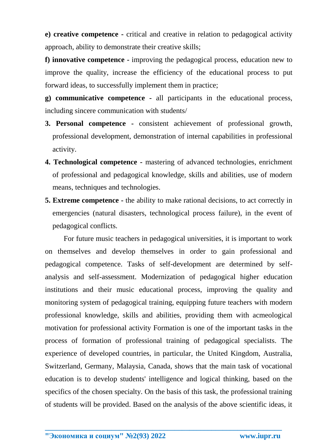**e) creative competence -** critical and creative in relation to pedagogical activity approach, ability to demonstrate their creative skills;

**f) innovative competence -** improving the pedagogical process, education new to improve the quality, increase the efficiency of the educational process to put forward ideas, to successfully implement them in practice;

**g) communicative competence -** all participants in the educational process, including sincere communication with students/

- **3. Personal competence -** consistent achievement of professional growth, professional development, demonstration of internal capabilities in professional activity.
- **4. Technological competence -** mastering of advanced technologies, enrichment of professional and pedagogical knowledge, skills and abilities, use of modern means, techniques and technologies.
- **5. Extreme competence -** the ability to make rational decisions, to act correctly in emergencies (natural disasters, technological process failure), in the event of pedagogical conflicts.

For future music teachers in pedagogical universities, it is important to work on themselves and develop themselves in order to gain professional and pedagogical competence. Tasks of self-development are determined by selfanalysis and self-assessment. Modernization of pedagogical higher education institutions and their music educational process, improving the quality and monitoring system of pedagogical training, equipping future teachers with modern professional knowledge, skills and abilities, providing them with acmeological motivation for professional activity Formation is one of the important tasks in the process of formation of professional training of pedagogical specialists. The experience of developed countries, in particular, the United Kingdom, Australia, Switzerland, Germany, Malaysia, Canada, shows that the main task of vocational education is to develop students' intelligence and logical thinking, based on the specifics of the chosen specialty. On the basis of this task, the professional training of students will be provided. Based on the analysis of the above scientific ideas, it

**\_\_\_\_\_\_\_\_\_\_\_\_\_\_\_\_\_\_\_\_\_\_\_\_\_\_\_\_\_\_\_\_\_\_\_\_\_\_\_\_\_\_\_\_\_\_\_\_\_\_\_\_\_\_\_\_\_\_\_\_\_\_\_\_**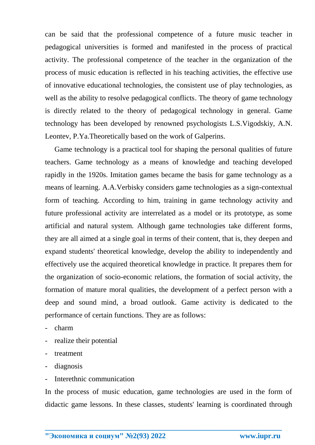can be said that the professional competence of a future music teacher in pedagogical universities is formed and manifested in the process of practical activity. The professional competence of the teacher in the organization of the process of music education is reflected in his teaching activities, the effective use of innovative educational technologies, the consistent use of play technologies, as well as the ability to resolve pedagogical conflicts. The theory of game technology is directly related to the theory of pedagogical technology in general. Game technology has been developed by renowned psychologists L.S.Vigodskiy, A.N. Leontev, P.Ya.Theoretically based on the work of Galperins.

Game technology is a practical tool for shaping the personal qualities of future teachers. Game technology as a means of knowledge and teaching developed rapidly in the 1920s. Imitation games became the basis for game technology as a means of learning. A.A.Verbisky considers game technologies as a sign-contextual form of teaching. According to him, training in game technology activity and future professional activity are interrelated as a model or its prototype, as some artificial and natural system. Although game technologies take different forms, they are all aimed at a single goal in terms of their content, that is, they deepen and expand students' theoretical knowledge, develop the ability to independently and effectively use the acquired theoretical knowledge in practice. It prepares them for the organization of socio-economic relations, the formation of social activity, the formation of mature moral qualities, the development of a perfect person with a deep and sound mind, a broad outlook. Game activity is dedicated to the performance of certain functions. They are as follows:

- charm
- realize their potential
- treatment
- diagnosis
- Interethnic communication

In the process of music education, game technologies are used in the form of didactic game lessons. In these classes, students' learning is coordinated through

**\_\_\_\_\_\_\_\_\_\_\_\_\_\_\_\_\_\_\_\_\_\_\_\_\_\_\_\_\_\_\_\_\_\_\_\_\_\_\_\_\_\_\_\_\_\_\_\_\_\_\_\_\_\_\_\_\_\_\_\_\_\_\_\_**